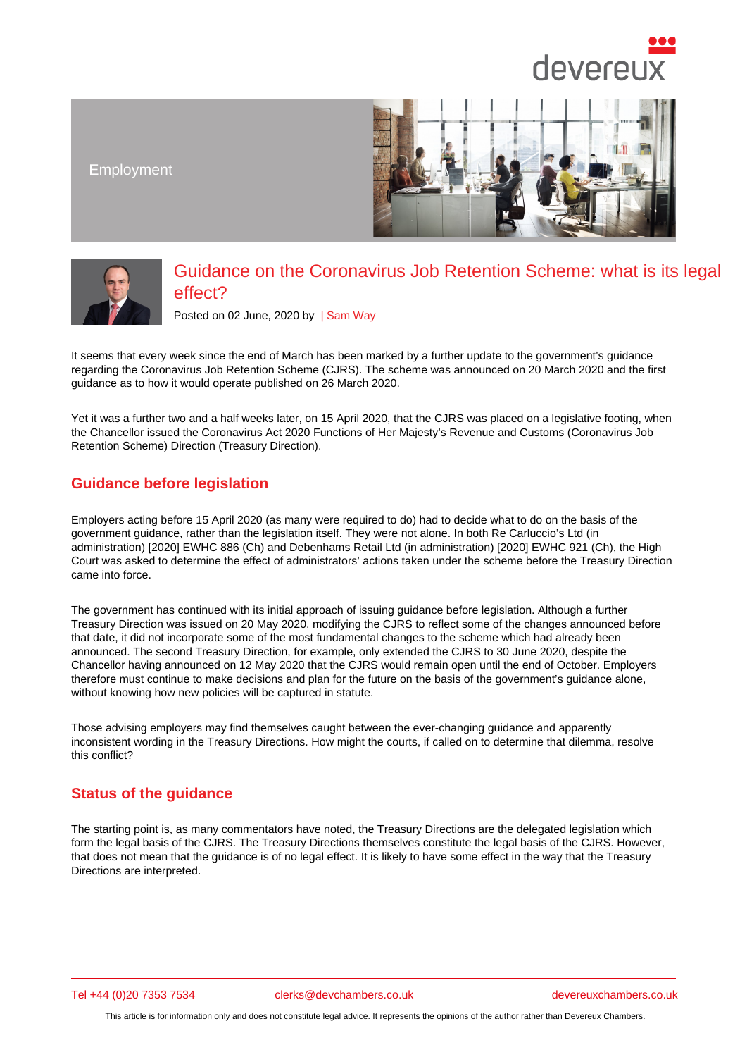Employment

## Guidance on the Coronavirus Job Retention Scheme: what is its legal effect?

Posted on 02 June, 2020 by | Sam Way

It seems that every week since the end of March has been marked by a further update to the government's guidance regarding the Coronavirus Job Retention Scheme (CJRS). The scheme was announced on 20 March 2020 and the first guidance as to how it would operate published on [26 March 2](/barristers/profile/sam-way)020.

Yet it was a further two and a half weeks later, on 15 April 2020, that the CJRS was placed on a legislative footing, when the Chancellor issued the Coronavirus Act 2020 Functions of Her Majesty's Revenue and Customs (Coronavirus Job Retention Scheme) Direction (Treasury Direction).

## Guidance before legislation

Employers acting before 15 April 2020 (as many were required to do) had to decide what to do on the basis of the government guidance, rather than the legislation itself. They were not alone. In both Re Carluccio's Ltd (in administration) [2020] EWHC 886 (Ch) and Debenhams Retail Ltd (in administration) [2020] EWHC 921 (Ch), the High Court was asked to determine the effect of administrators' actions taken under the scheme before the Treasury Direction came into force.

The government has continued with its initial approach of issuing guidance before legislation. Although a further Treasury Direction was issued on 20 May 2020, modifying the CJRS to reflect some of the changes announced before that date, it did not incorporate some of the most fundamental changes to the scheme which had already been announced. The second Treasury Direction, for example, only extended the CJRS to 30 June 2020, despite the Chancellor having announced on 12 May 2020 that the CJRS would remain open until the end of October. Employers therefore must continue to make decisions and plan for the future on the basis of the government's guidance alone, without knowing how new policies will be captured in statute.

Those advising employers may find themselves caught between the ever-changing guidance and apparently inconsistent wording in the Treasury Directions. How might the courts, if called on to determine that dilemma, resolve this conflict?

## Status of the guidance

The starting point is, as many commentators have noted, the Treasury Directions are the delegated legislation which form the legal basis of the CJRS. The Treasury Directions themselves constitute the legal basis of the CJRS. However, that does not mean that the guidance is of no legal effect. It is likely to have some effect in the way that the Treasury Directions are interpreted.

Tel +44 (0)20 7353 7534 clerks@devchambers.co.uk devereuxchambers.co.uk

This article is for information only and does not constitute legal advice. It represents the opinions of the author rather than Devereux Chambers.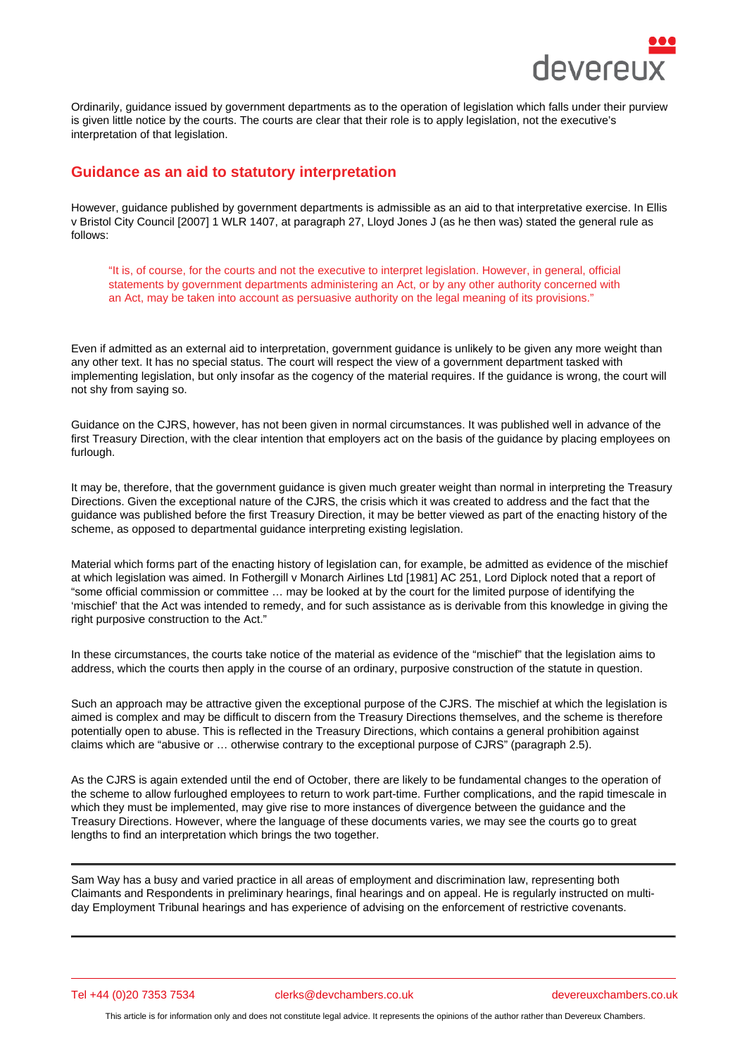Ordinarily, guidance issued by government departments as to the operation of legislation which falls under their purview is given little notice by the courts. The courts are clear that their role is to apply legislation, not the executive's interpretation of that legislation.

## Guidance as an aid to statutory interpretation

However, guidance published by government departments is admissible as an aid to that interpretative exercise. In Ellis v Bristol City Council [2007] 1 WLR 1407, at paragraph 27, Lloyd Jones J (as he then was) stated the general rule as follows:

"It is, of course, for the courts and not the executive to interpret legislation. However, in general, official statements by government departments administering an Act, or by any other authority concerned with an Act, may be taken into account as persuasive authority on the legal meaning of its provisions."

Even if admitted as an external aid to interpretation, government guidance is unlikely to be given any more weight than any other text. It has no special status. The court will respect the view of a government department tasked with implementing legislation, but only insofar as the cogency of the material requires. If the guidance is wrong, the court will not shy from saying so.

Guidance on the CJRS, however, has not been given in normal circumstances. It was published well in advance of the first Treasury Direction, with the clear intention that employers act on the basis of the guidance by placing employees on furlough.

It may be, therefore, that the government guidance is given much greater weight than normal in interpreting the Treasury Directions. Given the exceptional nature of the CJRS, the crisis which it was created to address and the fact that the guidance was published before the first Treasury Direction, it may be better viewed as part of the enacting history of the scheme, as opposed to departmental guidance interpreting existing legislation.

Material which forms part of the enacting history of legislation can, for example, be admitted as evidence of the mischief at which legislation was aimed. In Fothergill v Monarch Airlines Ltd [1981] AC 251, Lord Diplock noted that a report of "some official commission or committee … may be looked at by the court for the limited purpose of identifying the 'mischief' that the Act was intended to remedy, and for such assistance as is derivable from this knowledge in giving the right purposive construction to the Act."

In these circumstances, the courts take notice of the material as evidence of the "mischief" that the legislation aims to address, which the courts then apply in the course of an ordinary, purposive construction of the statute in question.

Such an approach may be attractive given the exceptional purpose of the CJRS. The mischief at which the legislation is aimed is complex and may be difficult to discern from the Treasury Directions themselves, and the scheme is therefore potentially open to abuse. This is reflected in the Treasury Directions, which contains a general prohibition against claims which are "abusive or … otherwise contrary to the exceptional purpose of CJRS" (paragraph 2.5).

As the CJRS is again extended until the end of October, there are likely to be fundamental changes to the operation of the scheme to allow furloughed employees to return to work part-time. Further complications, and the rapid timescale in which they must be implemented, may give rise to more instances of divergence between the guidance and the Treasury Directions. However, where the language of these documents varies, we may see the courts go to great lengths to find an interpretation which brings the two together.

Sam Way has a busy and varied practice in all areas of employment and discrimination law, representing both Claimants and Respondents in preliminary hearings, final hearings and on appeal. He is regularly instructed on multiday Employment Tribunal hearings and has experience of advising on the enforcement of restrictive covenants.

Tel +44 (0)20 7353 7534 clerks@devchambers.co.uk devereuxchambers.co.uk

This article is for information only and does not constitute legal advice. It represents the opinions of the author rather than Devereux Chambers.